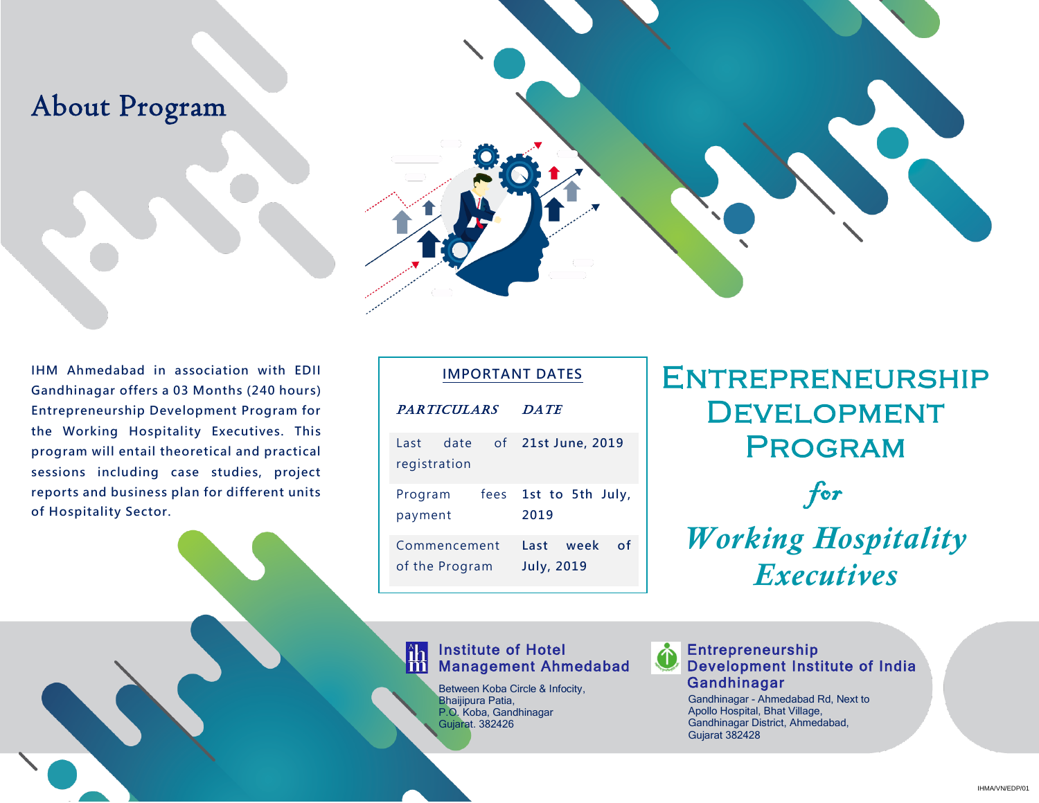### About Program

**IHM Ahmedabad in association with EDII Gandhinagar offers a 03 Months (240 hours) Entrepreneurship Development Program for the Working Hospitality Executives. This program will entail theoretical and practical sessions including case studies, project reports and business plan for different units of Hospitality Sector.**

| <b>IMPORTANT DATES</b>         |                                      |
|--------------------------------|--------------------------------------|
| <b>PARTICULARS</b>             | <b>DATE</b>                          |
| date<br>Last<br>registration   | of 21st June, 2019                   |
| fees<br>Program<br>payment     | 1st to 5th July,<br>2019             |
| Commencement<br>of the Program | of<br>Last week<br><b>July, 2019</b> |

#### Institute of Hotel Management Ahmedabad

Between Koba Circle & Infocity, Bhaijipura Patia, P.O. Koba, Gandhinagar Gujarat. 382426

# **ENTREPRENEURSHIP DEVELOPMENT PROGRAM**

for *Working Hospitality Executives*

#### Entrepreneurship Development Institute of India Gandhinagar

Gandhinagar - Ahmedabad Rd, Next to Apollo Hospital, Bhat Village, Gandhinagar District, Ahmedabad, Gujarat 382428